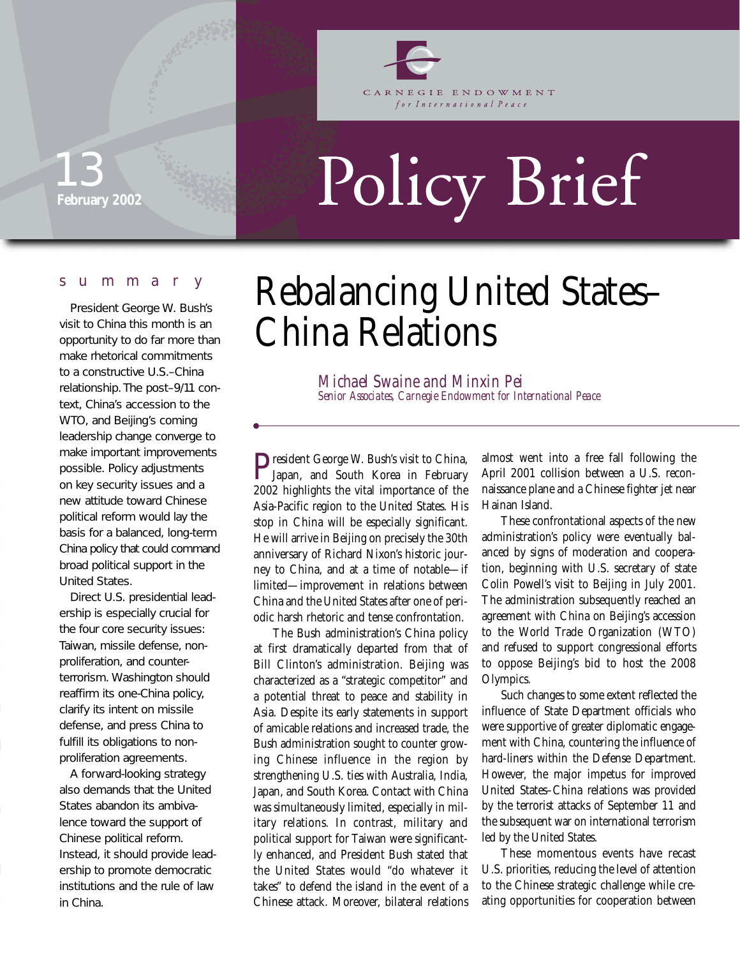

CARNEGIE ENDOWMENT for International Peace

### **February 2002** 13

# Policy Brief

#### summary

President George W. Bush's visit to China this month is an opportunity to do far more than make rhetorical commitments to a constructive U.S.–China relationship. The post–9/11 context, China's accession to the WTO, and Beijing's coming leadership change converge to make important improvements possible. Policy adjustments on key security issues and a new attitude toward Chinese political reform would lay the basis for a balanced, long-term China policy that could command broad political support in the United States.

Direct U.S. presidential leadership is especially crucial for the four core security issues: Taiwan, missile defense, nonproliferation, and counterterrorism. Washington should reaffirm its one-China policy, clarify its intent on missile defense, and press China to fulfill its obligations to nonproliferation agreements.

A forward-looking strategy also demands that the United States abandon its ambivalence toward the support of Chinese political reform. Instead, it should provide leadership to promote democratic institutions and the rule of law in China.

# Rebalancing United States– China Relations

*Michael Swaine and Minxin Pei Senior Associates, Carnegie Endowment for International Peace*

President George W. Bush's visit to China,<br>Japan, and South Korea in February<br>2009 birklishte the sitel interaction 2002 highlights the vital importance of the Asia-Pacific region to the United States. His stop in China will be especially significant. He will arrive in Beijing on precisely the 30th anniversary of Richard Nixon's historic journey to China, and at a time of notable—if limited—improvement in relations between China and the United States after one of periodic harsh rhetoric and tense confrontation.

The Bush administration's China policy at first dramatically departed from that of Bill Clinton's administration. Beijing was characterized as a "strategic competitor" and a potential threat to peace and stability in Asia. Despite its early statements in support of amicable relations and increased trade, the Bush administration sought to counter growing Chinese influence in the region by strengthening U.S. ties with Australia, India, Japan, and South Korea. Contact with China was simultaneously limited, especially in military relations. In contrast, military and political support for Taiwan were significantly enhanced, and President Bush stated that the United States would "do whatever it takes" to defend the island in the event of a Chinese attack. Moreover, bilateral relations

almost went into a free fall following the April 2001 collision between a U.S. reconnaissance plane and a Chinese fighter jet near Hainan Island.

These confrontational aspects of the new administration's policy were eventually balanced by signs of moderation and cooperation, beginning with U.S. secretary of state Colin Powell's visit to Beijing in July 2001. The administration subsequently reached an agreement with China on Beijing's accession to the World Trade Organization (WTO) and refused to support congressional efforts to oppose Beijing's bid to host the 2008 Olympics.

Such changes to some extent reflected the influence of State Department officials who were supportive of greater diplomatic engagement with China, countering the influence of hard-liners within the Defense Department. However, the major impetus for improved United States–China relations was provided by the terrorist attacks of September 11 and the subsequent war on international terrorism led by the United States.

These momentous events have recast U.S. priorities, reducing the level of attention to the Chinese strategic challenge while creating opportunities for cooperation between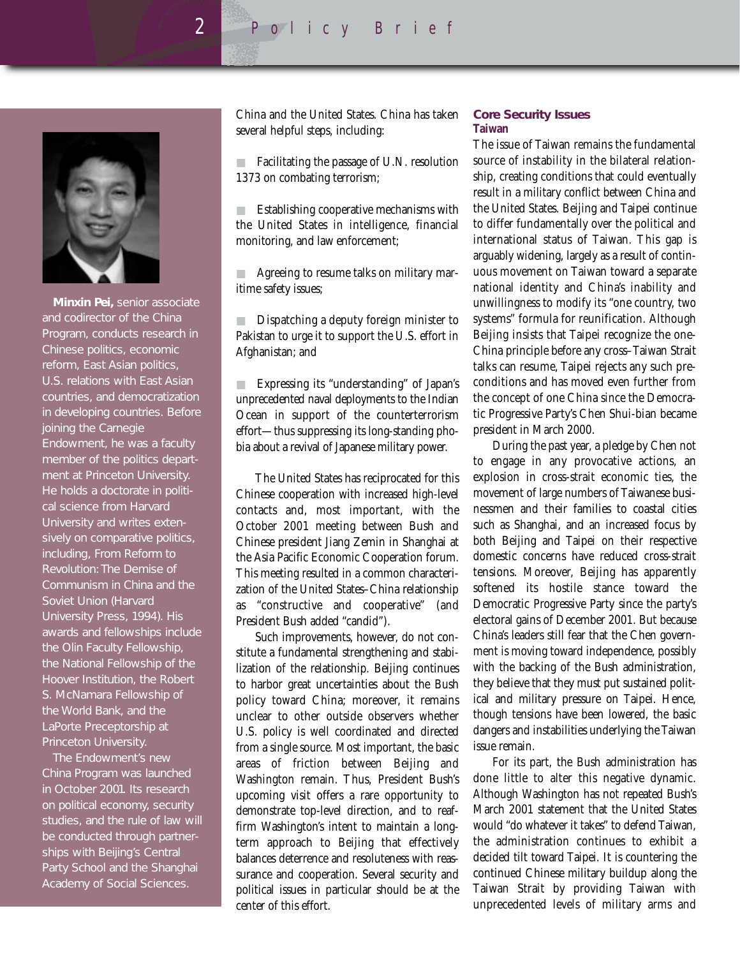*2* Policy Brief



**Minxin Pei,** senior associate and codirector of the China Program, conducts research in Chinese politics, economic reform, East Asian politics, U.S. relations with East Asian countries, and democratization in developing countries. Before joining the Carnegie Endowment, he was a faculty member of the politics department at Princeton University. He holds a doctorate in political science from Harvard University and writes extensively on comparative politics, including, *From Reform to Revolution: The Demise of Communism in China and the Soviet Union* (Harvard University Press, 1994). His awards and fellowships include the Olin Faculty Fellowship, the National Fellowship of the Hoover Institution, the Robert S. McNamara Fellowship of the World Bank, and the LaPorte Preceptorship at Princeton University.

The Endowment's new China Program was launched in October 2001. Its research on political economy, security studies, and the rule of law will be conducted through partnerships with Beijing's Central Party School and the Shanghai Academy of Social Sciences.

China and the United States. China has taken several helpful steps, including:

Facilitating the passage of U.N. resolution 1373 on combating terrorism;

■ Establishing cooperative mechanisms with the United States in intelligence, financial monitoring, and law enforcement;

Agreeing to resume talks on military maritime safety issues;

■ Dispatching a deputy foreign minister to Pakistan to urge it to support the U.S. effort in Afghanistan; and

■ Expressing its "understanding" of Japan's unprecedented naval deployments to the Indian Ocean in support of the counterterrorism effort—thus suppressing its long-standing phobia about a revival of Japanese military power.

The United States has reciprocated for this Chinese cooperation with increased high-level contacts and, most important, with the October 2001 meeting between Bush and Chinese president Jiang Zemin in Shanghai at the Asia Pacific Economic Cooperation forum. This meeting resulted in a common characterization of the United States–China relationship as "constructive and cooperative" (and President Bush added "candid").

Such improvements, however, do not constitute a fundamental strengthening and stabilization of the relationship. Beijing continues to harbor great uncertainties about the Bush policy toward China; moreover, it remains unclear to other outside observers whether U.S. policy is well coordinated and directed from a single source. Most important, the basic areas of friction between Beijing and Washington remain. Thus, President Bush's upcoming visit offers a rare opportunity to demonstrate top-level direction, and to reaffirm Washington's intent to maintain a longterm approach to Beijing that effectively balances deterrence and resoluteness with reassurance and cooperation. Several security and political issues in particular should be at the center of this effort.

#### **Core Security Issues Taiwan**

The issue of Taiwan remains the fundamental source of instability in the bilateral relationship, creating conditions that could eventually result in a military conflict between China and the United States. Beijing and Taipei continue to differ fundamentally over the political and international status of Taiwan. This gap is arguably widening, largely as a result of continuous movement on Taiwan toward a separate national identity and China's inability and unwillingness to modify its "one country, two systems" formula for reunification. Although Beijing insists that Taipei recognize the one-China principle before any cross–Taiwan Strait talks can resume, Taipei rejects any such preconditions and has moved even further from the concept of one China since the Democratic Progressive Party's Chen Shui-bian became president in March 2000.

During the past year, a pledge by Chen not to engage in any provocative actions, an explosion in cross-strait economic ties, the movement of large numbers of Taiwanese businessmen and their families to coastal cities such as Shanghai, and an increased focus by both Beijing and Taipei on their respective domestic concerns have reduced cross-strait tensions. Moreover, Beijing has apparently softened its hostile stance toward the Democratic Progressive Party since the party's electoral gains of December 2001. But because China's leaders still fear that the Chen government is moving toward independence, possibly with the backing of the Bush administration, they believe that they must put sustained political and military pressure on Taipei. Hence, though tensions have been lowered, the basic dangers and instabilities underlying the Taiwan issue remain.

For its part, the Bush administration has done little to alter this negative dynamic. Although Washington has not repeated Bush's March 2001 statement that the United States would "do whatever it takes" to defend Taiwan, the administration continues to exhibit a decided tilt toward Taipei. It is countering the continued Chinese military buildup along the Taiwan Strait by providing Taiwan with unprecedented levels of military arms and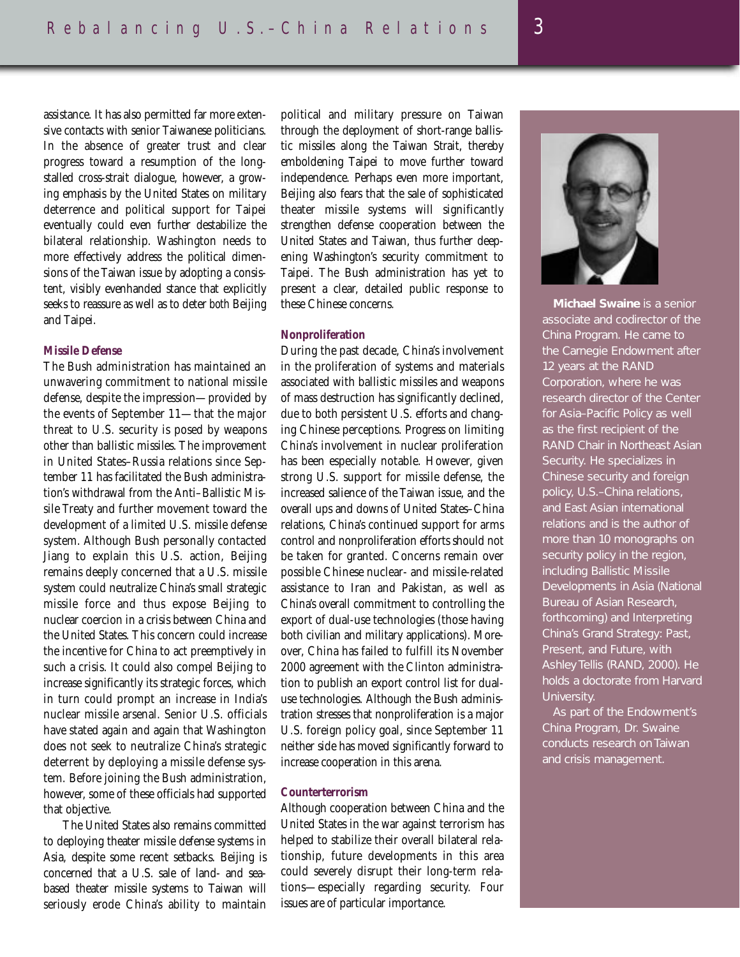assistance. It has also permitted far more extensive contacts with senior Taiwanese politicians. In the absence of greater trust and clear progress toward a resumption of the longstalled cross-strait dialogue, however, a growing emphasis by the United States on military deterrence and political support for Taipei eventually could even further destabilize the bilateral relationship. Washington needs to more effectively address the political dimensions of the Taiwan issue by adopting a consistent, visibly evenhanded stance that explicitly seeks to reassure as well as to deter *both* Beijing and Taipei.

#### **Missile Defense**

The Bush administration has maintained an unwavering commitment to national missile defense, despite the impression—provided by the events of September 11—that the major threat to U.S. security is posed by weapons other than ballistic missiles. The improvement in United States–Russia relations since September 11 has facilitated the Bush administration's withdrawal from the Anti–Ballistic Missile Treaty and further movement toward the development of a limited U.S. missile defense system. Although Bush personally contacted Jiang to explain this U.S. action, Beijing remains deeply concerned that a U.S. missile system could neutralize China's small strategic missile force and thus expose Beijing to nuclear coercion in a crisis between China and the United States. This concern could increase the incentive for China to act preemptively in such a crisis. It could also compel Beijing to increase significantly its strategic forces, which in turn could prompt an increase in India's nuclear missile arsenal. Senior U.S. officials have stated again and again that Washington does not seek to neutralize China's strategic deterrent by deploying a missile defense system. Before joining the Bush administration, however, some of these officials had supported that objective.

The United States also remains committed to deploying theater missile defense systems in Asia, despite some recent setbacks. Beijing is concerned that a U.S. sale of land- and seabased theater missile systems to Taiwan will seriously erode China's ability to maintain

political and military pressure on Taiwan through the deployment of short-range ballistic missiles along the Taiwan Strait, thereby emboldening Taipei to move further toward independence. Perhaps even more important, Beijing also fears that the sale of sophisticated theater missile systems will significantly strengthen defense cooperation between the United States and Taiwan, thus further deepening Washington's security commitment to Taipei. The Bush administration has yet to present a clear, detailed public response to these Chinese concerns.

#### **Nonproliferation**

During the past decade, China's involvement in the proliferation of systems and materials associated with ballistic missiles and weapons of mass destruction has significantly declined, due to both persistent U.S. efforts and changing Chinese perceptions. Progress on limiting China's involvement in nuclear proliferation has been especially notable. However, given strong U.S. support for missile defense, the increased salience of the Taiwan issue, and the overall ups and downs of United States–China relations, China's continued support for arms control and nonproliferation efforts should not be taken for granted. Concerns remain over possible Chinese nuclear- and missile-related assistance to Iran and Pakistan, as well as China's overall commitment to controlling the export of dual-use technologies (those having both civilian and military applications). Moreover, China has failed to fulfill its November 2000 agreement with the Clinton administration to publish an export control list for dualuse technologies. Although the Bush administration stresses that nonproliferation is a major U.S. foreign policy goal, since September 11 neither side has moved significantly forward to increase cooperation in this arena.

#### **Counterterrorism**

Although cooperation between China and the United States in the war against terrorism has helped to stabilize their overall bilateral relationship, future developments in this area could severely disrupt their long-term relations—especially regarding security. Four issues are of particular importance.



associate and codirector of the China Program. He came to the Carnegie Endowment after 12 years at the RAND Corporation, where he was research director of the Center for Asia–Pacific Policy as well as the first recipient of the RAND Chair in Northeast Asian Security. He specializes in Chinese security and foreign policy, U.S.–China relations, and East Asian international relations and is the author of more than 10 monographs on security policy in the region, including *Ballistic Missile Developments in Asia* (National Bureau of Asian Research, forthcoming) and *Interpreting China's Grand Strategy: Past, Present, and Future,* with Ashley Tellis (RAND, 2000). He holds a doctorate from Harvard University.

As part of the Endowment's China Program, Dr. Swaine conducts research on Taiwan and crisis management.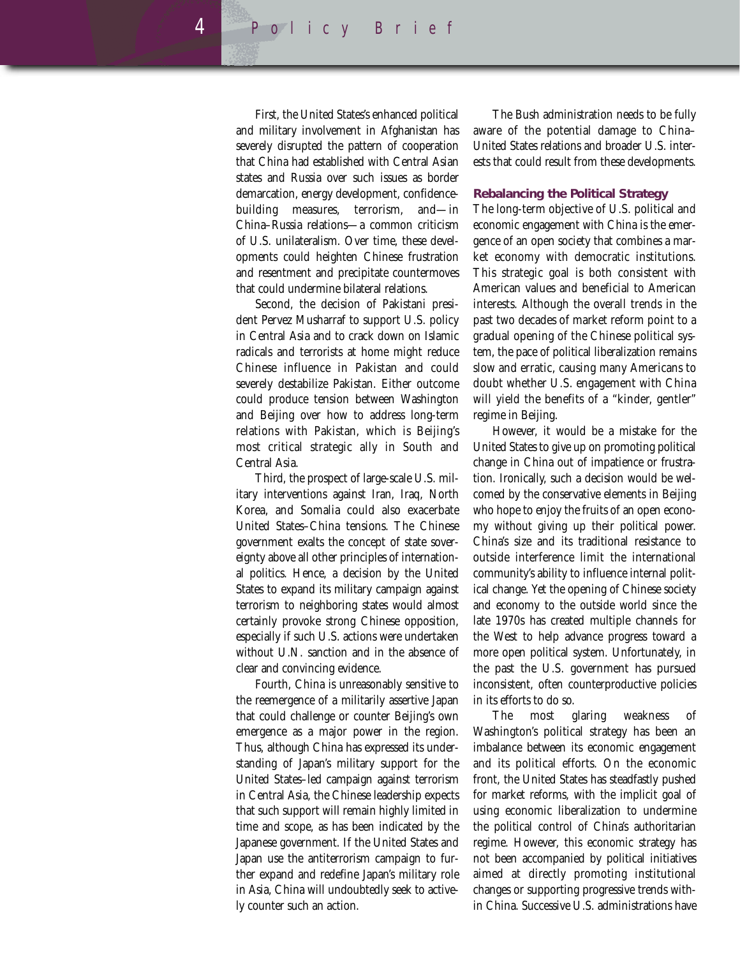First, the United States's enhanced political and military involvement in Afghanistan has severely disrupted the pattern of cooperation that China had established with Central Asian states and Russia over such issues as border demarcation, energy development, confidencebuilding measures, terrorism, and—in China–Russia relations—a common criticism of U.S. unilateralism. Over time, these developments could heighten Chinese frustration and resentment and precipitate countermoves that could undermine bilateral relations.

Second, the decision of Pakistani president Pervez Musharraf to support U.S. policy in Central Asia and to crack down on Islamic radicals and terrorists at home might reduce Chinese influence in Pakistan and could severely destabilize Pakistan. Either outcome could produce tension between Washington and Beijing over how to address long-term relations with Pakistan, which is Beijing's most critical strategic ally in South and Central Asia.

Third, the prospect of large-scale U.S. military interventions against Iran, Iraq, North Korea, and Somalia could also exacerbate United States–China tensions. The Chinese government exalts the concept of state sovereignty above all other principles of international politics. Hence, a decision by the United States to expand its military campaign against terrorism to neighboring states would almost certainly provoke strong Chinese opposition, especially if such U.S. actions were undertaken without U.N. sanction and in the absence of clear and convincing evidence.

Fourth, China is unreasonably sensitive to the reemergence of a militarily assertive Japan that could challenge or counter Beijing's own emergence as a major power in the region. Thus, although China has expressed its understanding of Japan's military support for the United States–led campaign against terrorism in Central Asia, the Chinese leadership expects that such support will remain highly limited in time and scope, as has been indicated by the Japanese government. If the United States and Japan use the antiterrorism campaign to further expand and redefine Japan's military role in Asia, China will undoubtedly seek to actively counter such an action.

The Bush administration needs to be fully aware of the potential damage to China– United States relations and broader U.S. interests that could result from these developments.

#### **Rebalancing the Political Strategy**

The long-term objective of U.S. political and economic engagement with China is the emergence of an open society that combines a market economy with democratic institutions. This strategic goal is both consistent with American values and beneficial to American interests. Although the overall trends in the past two decades of market reform point to a gradual opening of the Chinese political system, the pace of political liberalization remains slow and erratic, causing many Americans to doubt whether U.S. engagement with China will yield the benefits of a "kinder, gentler" regime in Beijing.

However, it would be a mistake for the United States to give up on promoting political change in China out of impatience or frustration. Ironically, such a decision would be welcomed by the conservative elements in Beijing who hope to enjoy the fruits of an open economy without giving up their political power. China's size and its traditional resistance to outside interference limit the international community's ability to influence internal political change. Yet the opening of Chinese society and economy to the outside world since the late 1970s has created multiple channels for the West to help advance progress toward a more open political system. Unfortunately, in the past the U.S. government has pursued inconsistent, often counterproductive policies in its efforts to do so.

The most glaring weakness of Washington's political strategy has been an imbalance between its economic engagement and its political efforts. On the economic front, the United States has steadfastly pushed for market reforms, with the implicit goal of using economic liberalization to undermine the political control of China's authoritarian regime. However, this economic strategy has not been accompanied by political initiatives aimed at directly promoting institutional changes or supporting progressive trends within China. Successive U.S. administrations have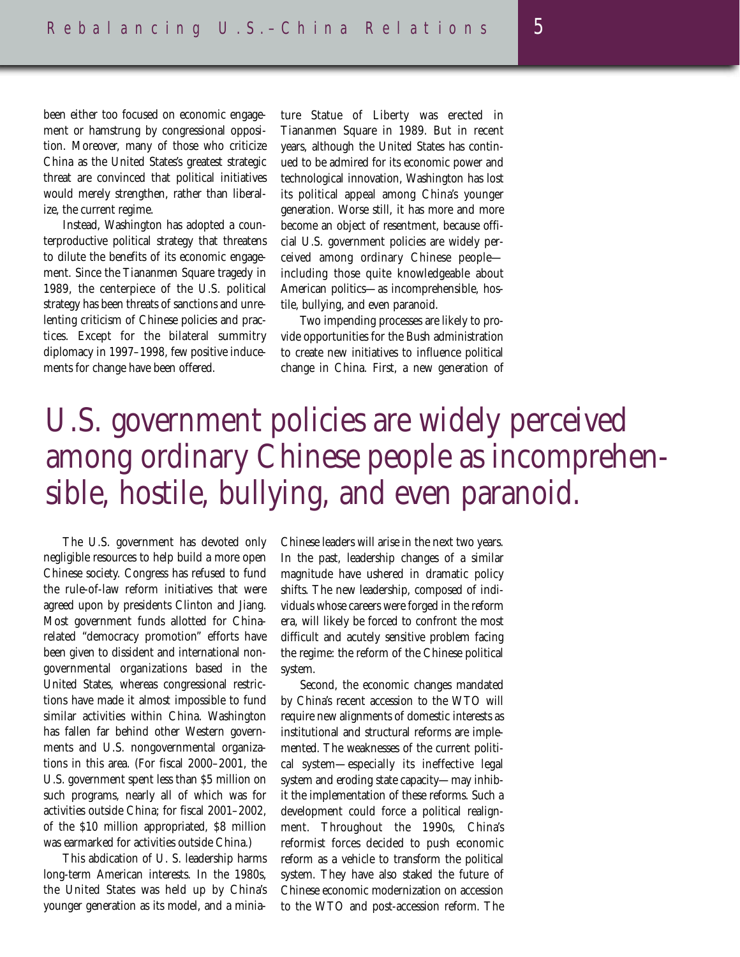been either too focused on economic engagement or hamstrung by congressional opposition. Moreover, many of those who criticize China as the United States's greatest strategic threat are convinced that political initiatives would merely strengthen, rather than liberalize, the current regime.

Instead, Washington has adopted a counterproductive political strategy that threatens to dilute the benefits of its economic engagement. Since the Tiananmen Square tragedy in 1989, the centerpiece of the U.S. political strategy has been threats of sanctions and unrelenting criticism of Chinese policies and practices. Except for the bilateral summitry diplomacy in 1997–1998, few positive inducements for change have been offered.

ture Statue of Liberty was erected in Tiananmen Square in 1989. But in recent years, although the United States has continued to be admired for its economic power and technological innovation, Washington has lost its political appeal among China's younger generation. Worse still, it has more and more become an object of resentment, because official U.S. government policies are widely perceived among ordinary Chinese people including those quite knowledgeable about American politics—as incomprehensible, hostile, bullying, and even paranoid.

Two impending processes are likely to provide opportunities for the Bush administration to create new initiatives to influence political change in China. First, a new generation of

## U.S. government policies are widely perceived among ordinary Chinese people as incomprehensible, hostile, bullying, and even paranoid.

The U.S. government has devoted only negligible resources to help build a more open Chinese society. Congress has refused to fund the rule-of-law reform initiatives that were agreed upon by presidents Clinton and Jiang. Most government funds allotted for Chinarelated "democracy promotion" efforts have been given to dissident and international nongovernmental organizations based in the United States, whereas congressional restrictions have made it almost impossible to fund similar activities within China. Washington has fallen far behind other Western governments and U.S. nongovernmental organizations in this area. (For fiscal 2000–2001, the U.S. government spent less than \$5 million on such programs, nearly all of which was for activities outside China; for fiscal 2001–2002, of the \$10 million appropriated, \$8 million was earmarked for activities outside China.)

This abdication of U. S. leadership harms long-term American interests. In the 1980s, the United States was held up by China's younger generation as its model, and a minia-

Chinese leaders will arise in the next two years. In the past, leadership changes of a similar magnitude have ushered in dramatic policy shifts. The new leadership, composed of individuals whose careers were forged in the reform era, will likely be forced to confront the most difficult and acutely sensitive problem facing the regime: the reform of the Chinese political system.

Second, the economic changes mandated by China's recent accession to the WTO will require new alignments of domestic interests as institutional and structural reforms are implemented. The weaknesses of the current political system—especially its ineffective legal system and eroding state capacity—may inhibit the implementation of these reforms. Such a development could force a political realignment. Throughout the 1990s, China's reformist forces decided to push economic reform as a vehicle to transform the political system. They have also staked the future of Chinese economic modernization on accession to the WTO and post-accession reform. The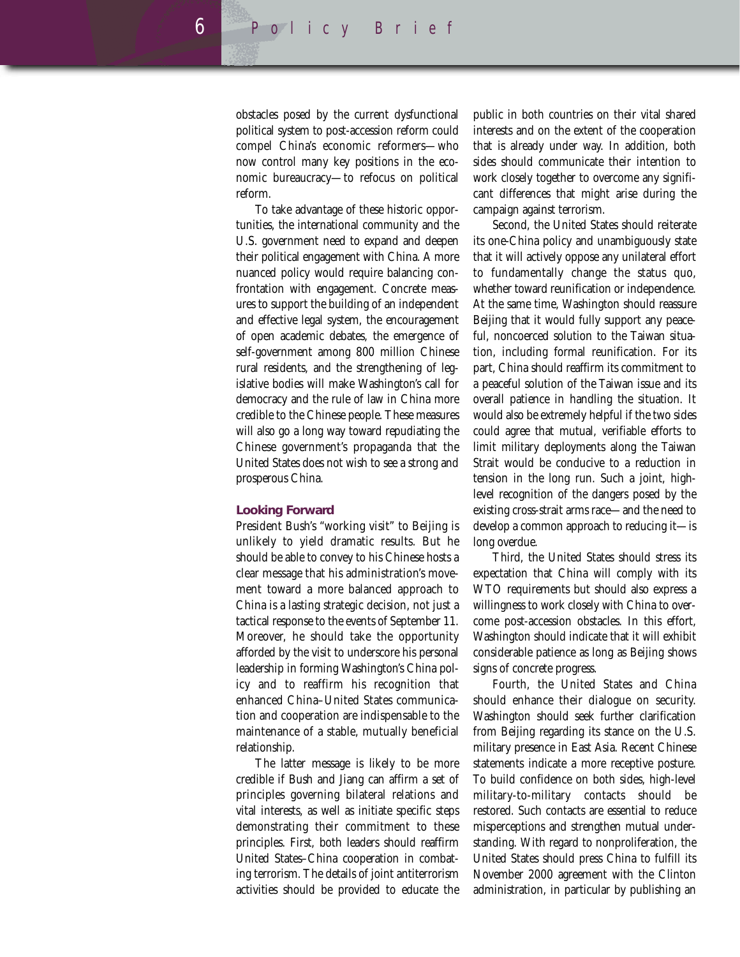obstacles posed by the current dysfunctional political system to post-accession reform could compel China's economic reformers—who now control many key positions in the economic bureaucracy—to refocus on political reform.

To take advantage of these historic opportunities, the international community and the U.S. government need to expand and deepen their political engagement with China. A more nuanced policy would require balancing confrontation with engagement. Concrete measures to support the building of an independent and effective legal system, the encouragement of open academic debates, the emergence of self-government among 800 million Chinese rural residents, and the strengthening of legislative bodies will make Washington's call for democracy and the rule of law in China more credible to the Chinese people. These measures will also go a long way toward repudiating the Chinese government's propaganda that the United States does not wish to see a strong and prosperous China.

#### **Looking Forward**

President Bush's "working visit" to Beijing is unlikely to yield dramatic results. But he should be able to convey to his Chinese hosts a clear message that his administration's movement toward a more balanced approach to China is a lasting strategic decision, not just a tactical response to the events of September 11. Moreover, he should take the opportunity afforded by the visit to underscore his personal leadership in forming Washington's China policy and to reaffirm his recognition that enhanced China–United States communication and cooperation are indispensable to the maintenance of a stable, mutually beneficial relationship.

The latter message is likely to be more credible if Bush and Jiang can affirm a set of principles governing bilateral relations and vital interests, as well as initiate specific steps demonstrating their commitment to these principles. First, both leaders should reaffirm United States–China cooperation in combating terrorism. The details of joint antiterrorism activities should be provided to educate the

public in both countries on their vital shared interests and on the extent of the cooperation that is already under way. In addition, both sides should communicate their intention to work closely together to overcome any significant differences that might arise during the campaign against terrorism.

Second, the United States should reiterate its one-China policy and unambiguously state that it will actively oppose any unilateral effort to fundamentally change the status quo, whether toward reunification or independence. At the same time, Washington should reassure Beijing that it would fully support any peaceful, noncoerced solution to the Taiwan situation, including formal reunification. For its part, China should reaffirm its commitment to a peaceful solution of the Taiwan issue and its overall patience in handling the situation. It would also be extremely helpful if the two sides could agree that mutual, verifiable efforts to limit military deployments along the Taiwan Strait would be conducive to a reduction in tension in the long run. Such a joint, highlevel recognition of the dangers posed by the existing cross-strait arms race—and the need to develop a common approach to reducing it—is long overdue.

Third, the United States should stress its expectation that China will comply with its WTO requirements but should also express a willingness to work closely with China to overcome post-accession obstacles. In this effort, Washington should indicate that it will exhibit considerable patience as long as Beijing shows signs of concrete progress.

Fourth, the United States and China should enhance their dialogue on security. Washington should seek further clarification from Beijing regarding its stance on the U.S. military presence in East Asia. Recent Chinese statements indicate a more receptive posture. To build confidence on both sides, high-level military-to-military contacts should be restored. Such contacts are essential to reduce misperceptions and strengthen mutual understanding. With regard to nonproliferation, the United States should press China to fulfill its November 2000 agreement with the Clinton administration, in particular by publishing an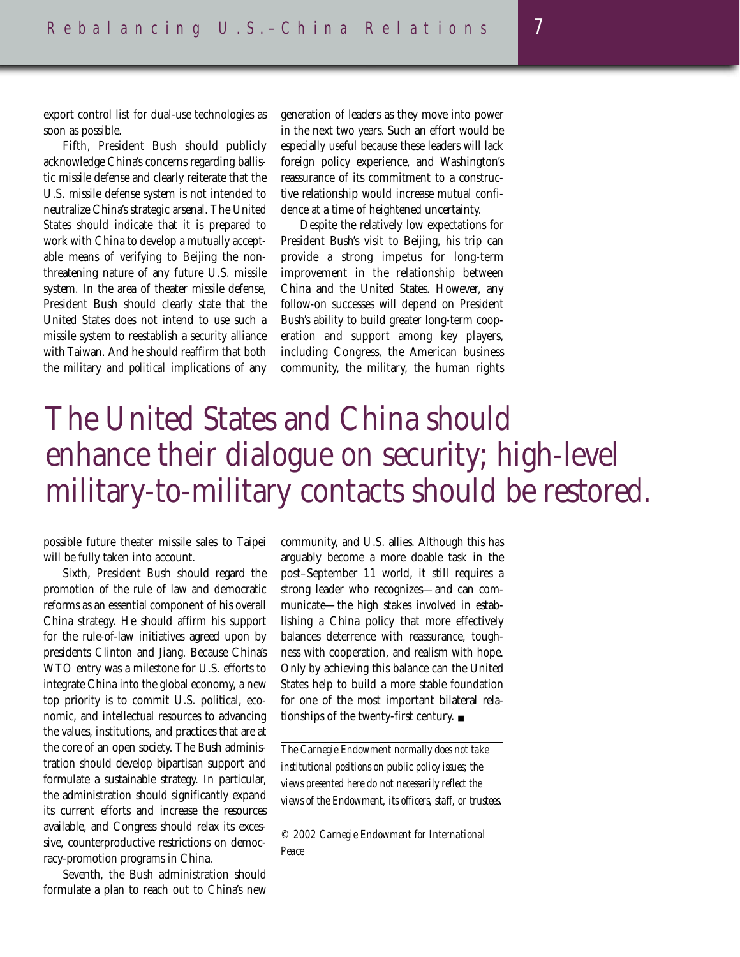export control list for dual-use technologies as soon as possible.

Fifth, President Bush should publicly acknowledge China's concerns regarding ballistic missile defense and clearly reiterate that the U.S. missile defense system is not intended to neutralize China's strategic arsenal. The United States should indicate that it is prepared to work with China to develop a mutually acceptable means of verifying to Beijing the nonthreatening nature of any future U.S. missile system. In the area of theater missile defense, President Bush should clearly state that the United States does not intend to use such a missile system to reestablish a security alliance with Taiwan. And he should reaffirm that both the military *and political* implications of any generation of leaders as they move into power in the next two years. Such an effort would be especially useful because these leaders will lack foreign policy experience, and Washington's reassurance of its commitment to a constructive relationship would increase mutual confidence at a time of heightened uncertainty.

Despite the relatively low expectations for President Bush's visit to Beijing, his trip can provide a strong impetus for long-term improvement in the relationship between China and the United States. However, any follow-on successes will depend on President Bush's ability to build greater long-term cooperation and support among key players, including Congress, the American business community, the military, the human rights

## The United States and China should enhance their dialogue on security; high-level military-to-military contacts should be restored.

possible future theater missile sales to Taipei will be fully taken into account.

Sixth, President Bush should regard the promotion of the rule of law and democratic reforms as an essential component of his overall China strategy. He should affirm his support for the rule-of-law initiatives agreed upon by presidents Clinton and Jiang. Because China's WTO entry was a milestone for U.S. efforts to integrate China into the global economy, a new top priority is to commit U.S. political, economic, and intellectual resources to advancing the values, institutions, and practices that are at the core of an open society. The Bush administration should develop bipartisan support and formulate a sustainable strategy. In particular, the administration should significantly expand its current efforts and increase the resources available, and Congress should relax its excessive, counterproductive restrictions on democracy-promotion programs in China.

Seventh, the Bush administration should formulate a plan to reach out to China's new

community, and U.S. allies. Although this has arguably become a more doable task in the post–September 11 world, it still requires a strong leader who recognizes—and can communicate—the high stakes involved in establishing a China policy that more effectively balances deterrence with reassurance, toughness with cooperation, and realism with hope. Only by achieving this balance can the United States help to build a more stable foundation for one of the most important bilateral relationships of the twenty-first century. ■

*The Carnegie Endowment normally does not take institutional positions on public policy issues; the views presented here do not necessarily reflect the views of the Endowment, its officers, staff, or trustees.*

*© 2002 Carnegie Endowment for International Peace*